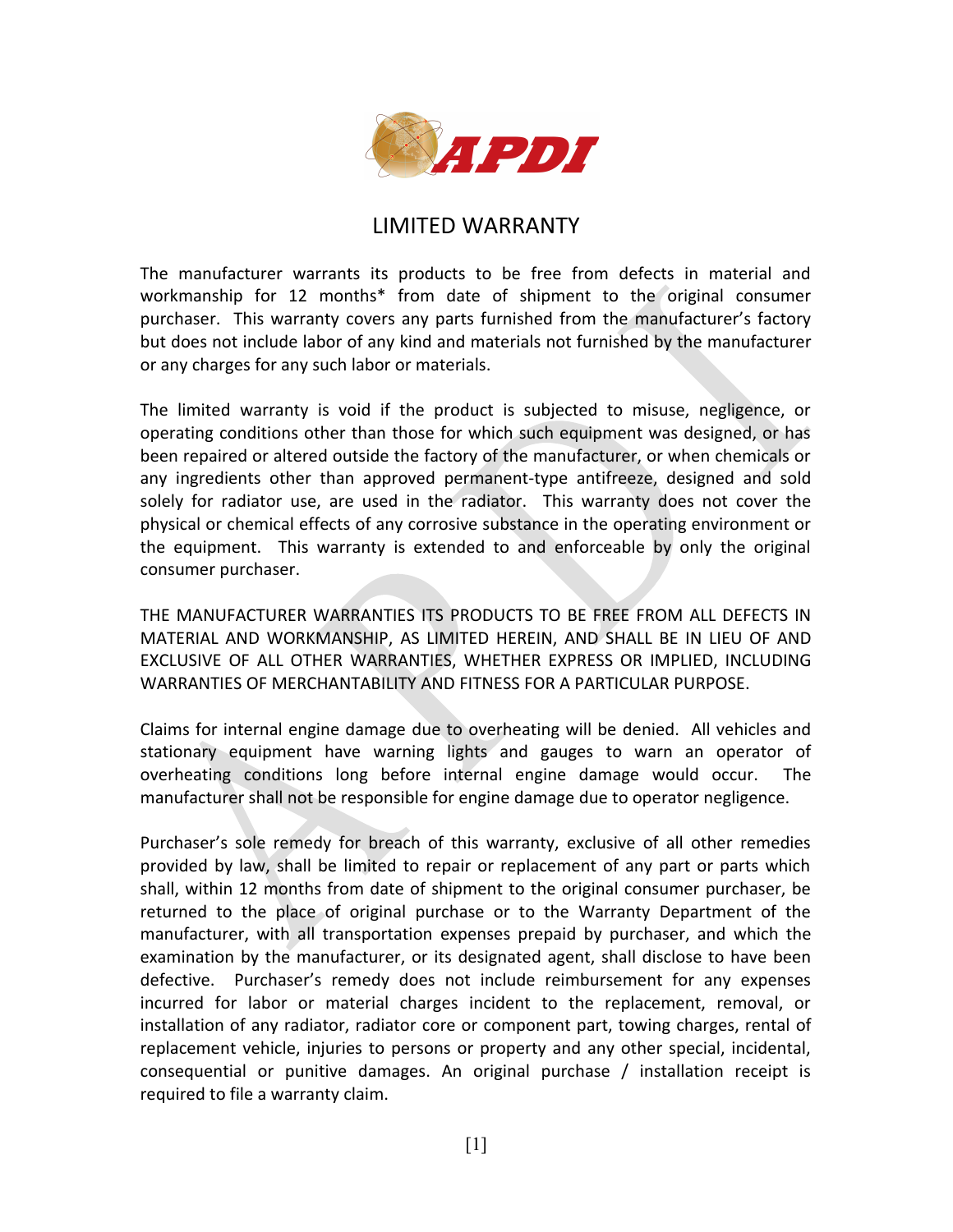

## LIMITED WARRANTY

The manufacturer warrants its products to be free from defects in material and workmanship for 12 months\* from date of shipment to the original consumer purchaser. This warranty covers any parts furnished from the manufacturer's factory but does not include labor of any kind and materials not furnished by the manufacturer or any charges for any such labor or materials.

The limited warranty is void if the product is subjected to misuse, negligence, or operating conditions other than those for which such equipment was designed, or has been repaired or altered outside the factory of the manufacturer, or when chemicals or any ingredients other than approved permanent-type antifreeze, designed and sold solely for radiator use, are used in the radiator. This warranty does not cover the physical or chemical effects of any corrosive substance in the operating environment or the equipment. This warranty is extended to and enforceable by only the original consumer purchaser.

THE MANUFACTURER WARRANTIES ITS PRODUCTS TO BE FREE FROM ALL DEFECTS IN MATERIAL AND WORKMANSHIP, AS LIMITED HEREIN, AND SHALL BE IN LIEU OF AND EXCLUSIVE OF ALL OTHER WARRANTIES, WHETHER EXPRESS OR IMPLIED, INCLUDING WARRANTIES OF MERCHANTABILITY AND FITNESS FOR A PARTICULAR PURPOSE.

Claims for internal engine damage due to overheating will be denied. All vehicles and stationary equipment have warning lights and gauges to warn an operator of overheating conditions long before internal engine damage would occur. The manufacturer shall not be responsible for engine damage due to operator negligence.

Purchaser's sole remedy for breach of this warranty, exclusive of all other remedies provided by law, shall be limited to repair or replacement of any part or parts which shall, within 12 months from date of shipment to the original consumer purchaser, be returned to the place of original purchase or to the Warranty Department of the manufacturer, with all transportation expenses prepaid by purchaser, and which the examination by the manufacturer, or its designated agent, shall disclose to have been defective. Purchaser's remedy does not include reimbursement for any expenses incurred for labor or material charges incident to the replacement, removal, or installation of any radiator, radiator core or component part, towing charges, rental of replacement vehicle, injuries to persons or property and any other special, incidental, consequential or punitive damages. An original purchase / installation receipt is required to file a warranty claim.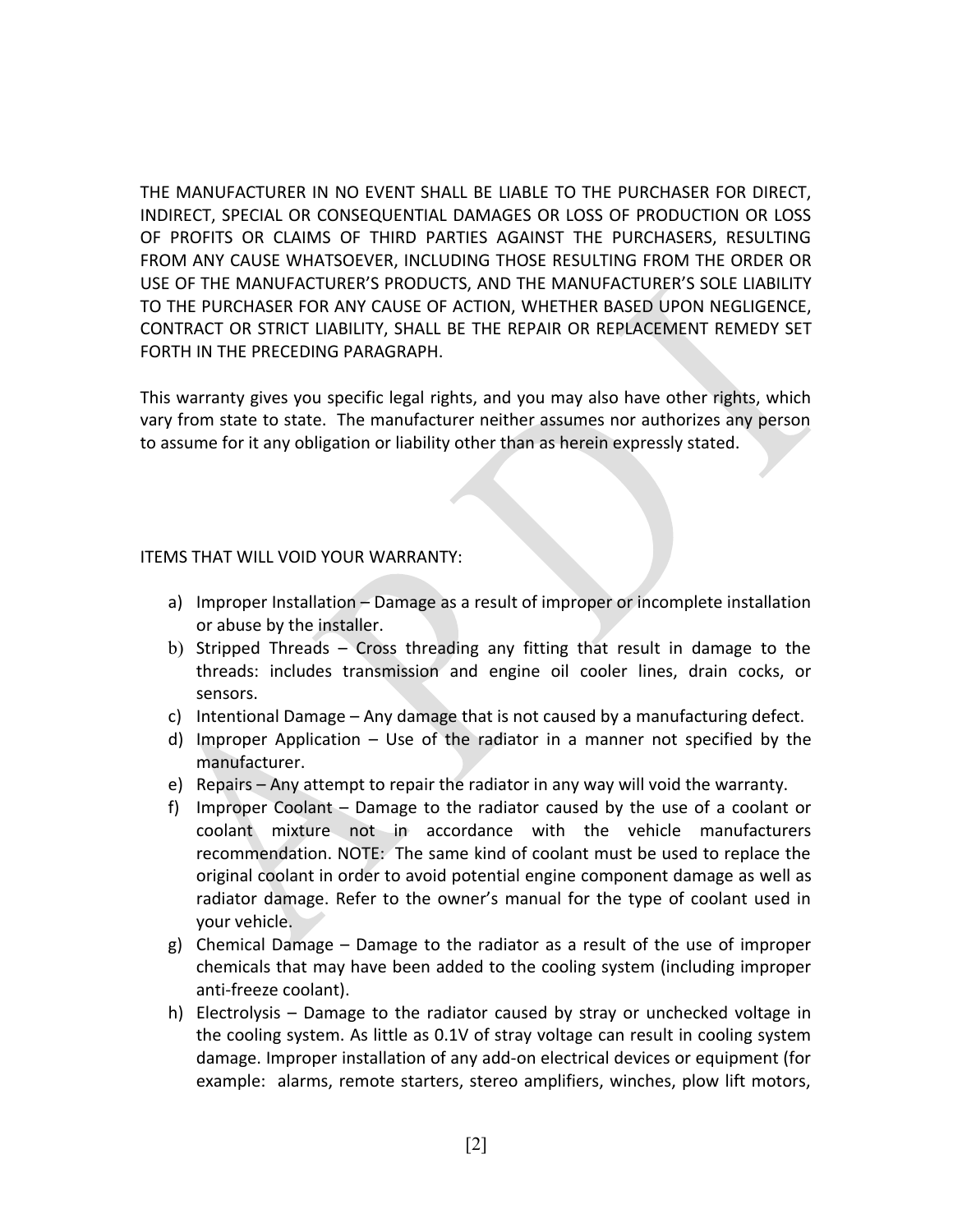THE MANUFACTURER IN NO EVENT SHALL BE LIABLE TO THE PURCHASER FOR DIRECT, INDIRECT, SPECIAL OR CONSEQUENTIAL DAMAGES OR LOSS OF PRODUCTION OR LOSS OF PROFITS OR CLAIMS OF THIRD PARTIES AGAINST THE PURCHASERS, RESULTING FROM ANY CAUSE WHATSOEVER, INCLUDING THOSE RESULTING FROM THE ORDER OR USE OF THE MANUFACTURER'S PRODUCTS, AND THE MANUFACTURER'S SOLE LIABILITY TO THE PURCHASER FOR ANY CAUSE OF ACTION, WHETHER BASED UPON NEGLIGENCE, CONTRACT OR STRICT LIABILITY, SHALL BE THE REPAIR OR REPLACEMENT REMEDY SET FORTH IN THE PRECEDING PARAGRAPH.

This warranty gives you specific legal rights, and you may also have other rights, which vary from state to state. The manufacturer neither assumes nor authorizes any person to assume for it any obligation or liability other than as herein expressly stated.

## ITEMS THAT WILL VOID YOUR WARRANTY:

- a) Improper Installation Damage as a result of improper or incomplete installation or abuse by the installer.
- b) Stripped Threads Cross threading any fitting that result in damage to the threads: includes transmission and engine oil cooler lines, drain cocks, or sensors.
- c) Intentional Damage Any damage that is not caused by a manufacturing defect.
- d) Improper Application Use of the radiator in a manner not specified by the manufacturer.
- e) Repairs Any attempt to repair the radiator in any way will void the warranty.
- f) Improper Coolant Damage to the radiator caused by the use of a coolant or coolant mixture not in accordance with the vehicle manufacturers recommendation. NOTE: The same kind of coolant must be used to replace the original coolant in order to avoid potential engine component damage as well as radiator damage. Refer to the owner's manual for the type of coolant used in your vehicle.
- g) Chemical Damage Damage to the radiator as a result of the use of improper chemicals that may have been added to the cooling system (including improper anti-freeze coolant).
- h) Electrolysis Damage to the radiator caused by stray or unchecked voltage in the cooling system. As little as 0.1V of stray voltage can result in cooling system damage. Improper installation of any add-on electrical devices or equipment (for example: alarms, remote starters, stereo amplifiers, winches, plow lift motors,